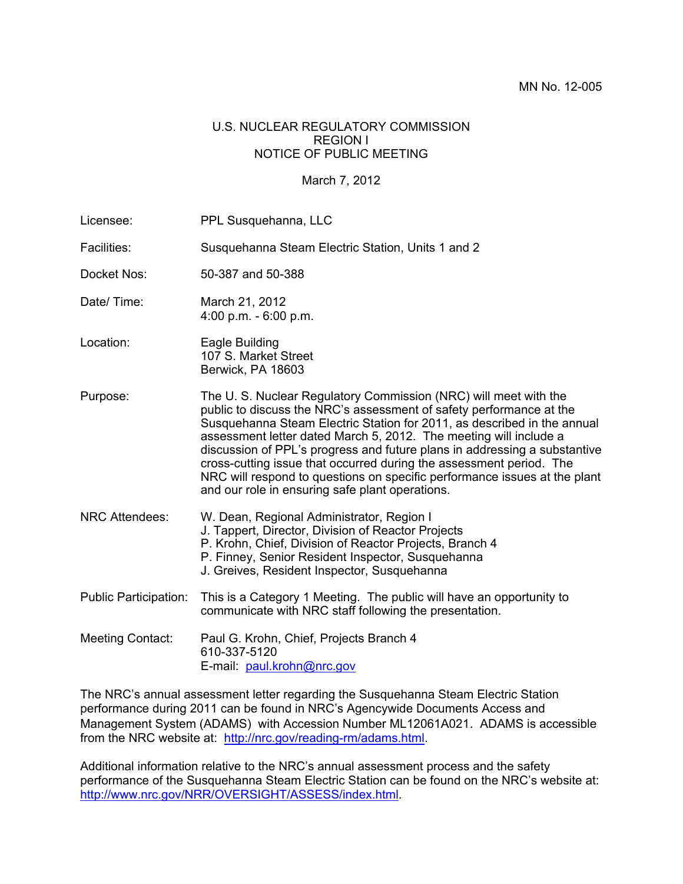#### U.S. NUCLEAR REGULATORY COMMISSION REGION I NOTICE OF PUBLIC MEETING

#### March 7, 2012

Licensee: PPL Susquehanna, LLC Facilities: Susquehanna Steam Electric Station, Units 1 and 2 Docket Nos: 50-387 and 50-388 Date/ Time: March 21, 2012 4:00 p.m. - 6:00 p.m. Location: Eagle Building 107 S. Market Street Berwick, PA 18603 Purpose: The U. S. Nuclear Regulatory Commission (NRC) will meet with the public to discuss the NRC's assessment of safety performance at the Susquehanna Steam Electric Station for 2011, as described in the annual assessment letter dated March 5, 2012. The meeting will include a discussion of PPL's progress and future plans in addressing a substantive cross-cutting issue that occurred during the assessment period. The NRC will respond to questions on specific performance issues at the plant and our role in ensuring safe plant operations. NRC Attendees: W. Dean, Regional Administrator, Region I J. Tappert, Director, Division of Reactor Projects P. Krohn, Chief, Division of Reactor Projects, Branch 4 P. Finney, Senior Resident Inspector, Susquehanna J. Greives, Resident Inspector, Susquehanna Public Participation: This is a Category 1 Meeting. The public will have an opportunity to communicate with NRC staff following the presentation. Meeting Contact: Paul G. Krohn, Chief, Projects Branch 4 610-337-5120 E-mail: paul.krohn@nrc.gov

The NRC's annual assessment letter regarding the Susquehanna Steam Electric Station performance during 2011 can be found in NRC's Agencywide Documents Access and Management System (ADAMS) with Accession Number ML12061A021. ADAMS is accessible from the NRC website at: http://nrc.gov/reading-rm/adams.html.

Additional information relative to the NRC's annual assessment process and the safety performance of the Susquehanna Steam Electric Station can be found on the NRC's website at: http://www.nrc.gov/NRR/OVERSIGHT/ASSESS/index.html.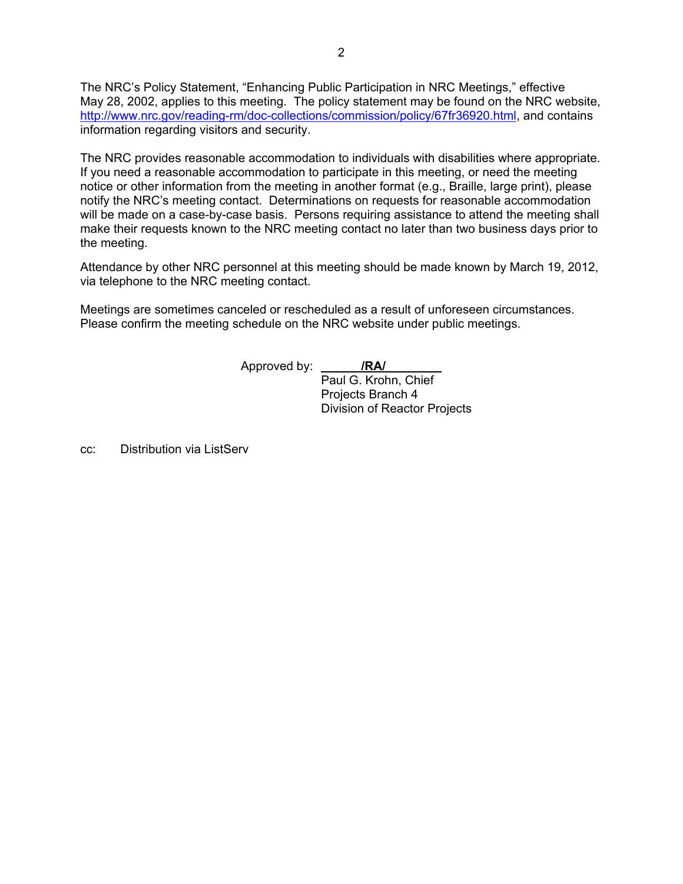The NRC's Policy Statement, "Enhancing Public Participation in NRC Meetings," effective May 28, 2002, applies to this meeting. The policy statement may be found on the NRC website, http://www.nrc.gov/reading-rm/doc-collections/commission/policy/67fr36920.html, and contains information regarding visitors and security.

The NRC provides reasonable accommodation to individuals with disabilities where appropriate. If you need a reasonable accommodation to participate in this meeting, or need the meeting notice or other information from the meeting in another format (e.g., Braille, large print), please notify the NRC's meeting contact. Determinations on requests for reasonable accommodation will be made on a case-by-case basis. Persons requiring assistance to attend the meeting shall make their requests known to the NRC meeting contact no later than two business days prior to the meeting.

Attendance by other NRC personnel at this meeting should be made known by March 19, 2012, via telephone to the NRC meeting contact.

Meetings are sometimes canceled or rescheduled as a result of unforeseen circumstances. Please confirm the meeting schedule on the NRC website under public meetings.

Approved by: **/RA/** 

 Paul G. Krohn, Chief Projects Branch 4 Division of Reactor Projects

cc: Distribution via ListServ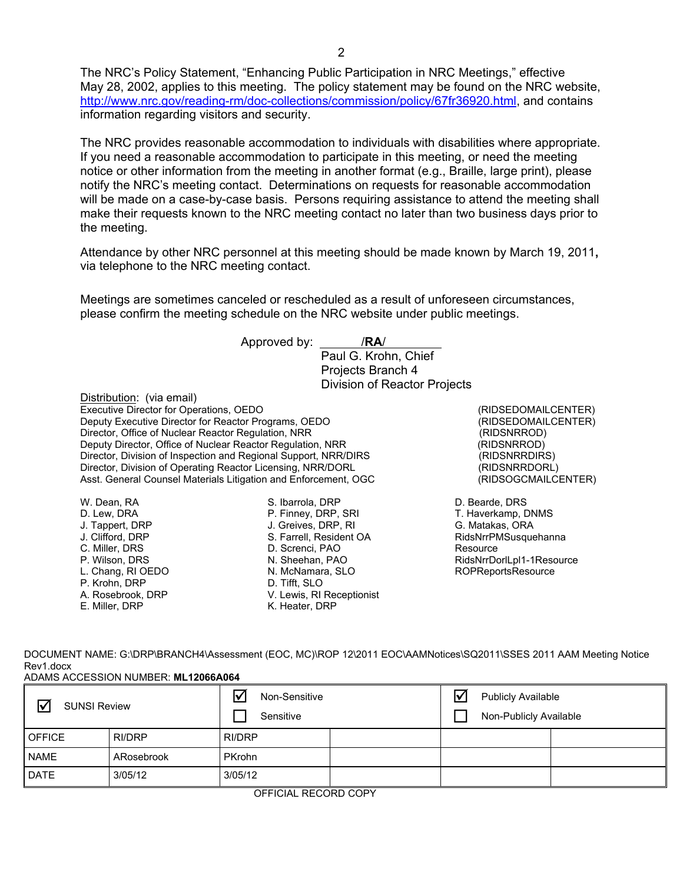The NRC's Policy Statement, "Enhancing Public Participation in NRC Meetings," effective May 28, 2002, applies to this meeting. The policy statement may be found on the NRC website, http://www.nrc.gov/reading-rm/doc-collections/commission/policy/67fr36920.html, and contains information regarding visitors and security.

The NRC provides reasonable accommodation to individuals with disabilities where appropriate. If you need a reasonable accommodation to participate in this meeting, or need the meeting notice or other information from the meeting in another format (e.g., Braille, large print), please notify the NRC's meeting contact. Determinations on requests for reasonable accommodation will be made on a case-by-case basis. Persons requiring assistance to attend the meeting shall make their requests known to the NRC meeting contact no later than two business days prior to the meeting.

Attendance by other NRC personnel at this meeting should be made known by March 19, 2011**,** via telephone to the NRC meeting contact.

Meetings are sometimes canceled or rescheduled as a result of unforeseen circumstances, please confirm the meeting schedule on the NRC website under public meetings.

|                                                                 | Approved by:<br>/RA/<br>Paul G. Krohn, Chief                    |                           |
|-----------------------------------------------------------------|-----------------------------------------------------------------|---------------------------|
|                                                                 | Projects Branch 4                                               |                           |
|                                                                 | Division of Reactor Projects                                    |                           |
| Distribution: (via email)                                       |                                                                 |                           |
| Executive Director for Operations, OEDO                         | (RIDSEDOMAILCENTER)                                             |                           |
| Deputy Executive Director for Reactor Programs, OEDO            | (RIDSEDOMAILCENTER)                                             |                           |
| Director, Office of Nuclear Reactor Regulation, NRR             | (RIDSNRROD)                                                     |                           |
| Deputy Director, Office of Nuclear Reactor Regulation, NRR      | (RIDSNRROD)                                                     |                           |
| Director, Division of Inspection and Regional Support, NRR/DIRS | (RIDSNRRDIRS)                                                   |                           |
|                                                                 | Director, Division of Operating Reactor Licensing, NRR/DORL     | (RIDSNRRDORL)             |
|                                                                 | Asst. General Counsel Materials Litigation and Enforcement, OGC | (RIDSOGCMAILCENTER)       |
| W. Dean, RA                                                     | S. Ibarrola, DRP                                                | D. Bearde, DRS            |
| D. Lew, DRA                                                     | P. Finney, DRP, SRI                                             | T. Haverkamp, DNMS        |
| J. Tappert, DRP                                                 | J. Greives, DRP, RI                                             | G. Matakas, ORA           |
| J. Clifford, DRP                                                | S. Farrell, Resident OA                                         | RidsNrrPMSusquehanna      |
| C. Miller, DRS                                                  | D. Screnci, PAO                                                 | Resource                  |
| P. Wilson, DRS                                                  | N. Sheehan, PAO                                                 | RidsNrrDorlLpl1-1Resource |
| L. Chang, RI OEDO                                               | N. McNamara, SLO                                                | <b>ROPReportsResource</b> |
| P. Krohn. DRP                                                   | D. Tifft. SLO                                                   |                           |

| DOCUMENT NAME: G:\DRP\BRANCH4\Assessment (EOC, MC)\ROP 12\2011 EOC\AAMNotices\SQ2011\SSES 2011 AAM Meeting Notice |
|-------------------------------------------------------------------------------------------------------------------|
| Rev1.docx                                                                                                         |
| ADAMS ACCESSION NUMBER: ML12066A064                                                                               |

V. Lewis, RI Receptionist

K. Heater, DRP

A. Rosebrook, DRP E. Miller, DRP

| $\triangledown$<br><b>SUNSI Review</b> |            | ∇<br>Non-Sensitive<br>Sensitive |  | Ⅳ | <b>Publicly Available</b><br>Non-Publicly Available |  |
|----------------------------------------|------------|---------------------------------|--|---|-----------------------------------------------------|--|
| <b>OFFICE</b>                          | RI/DRP     | RI/DRP                          |  |   |                                                     |  |
| <b>NAME</b>                            | ARosebrook | <b>PKrohn</b>                   |  |   |                                                     |  |
| <b>DATE</b>                            | 3/05/12    | 3/05/12                         |  |   |                                                     |  |

OFFICIAL RECORD COPY